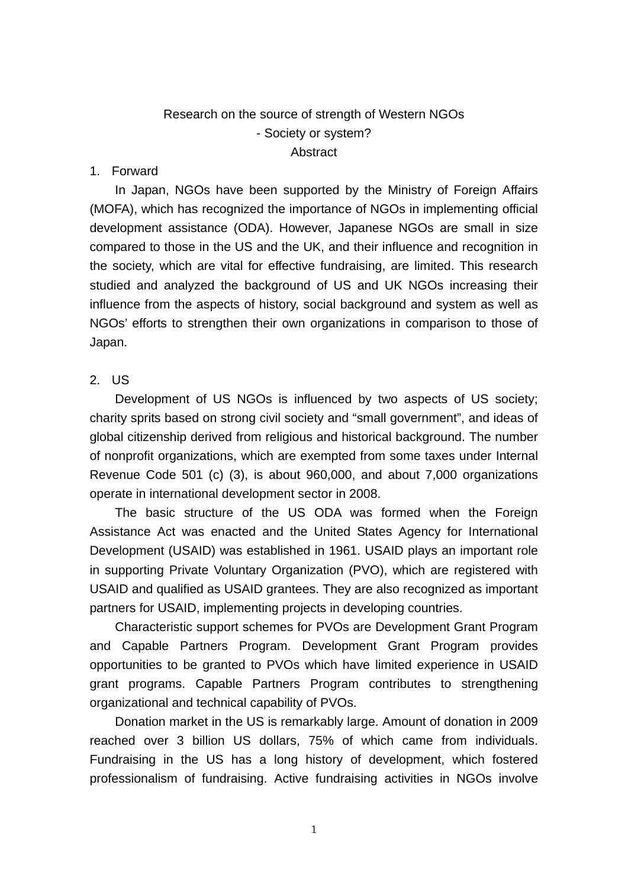# Research on the source of strength of Western NGOs - Society or system? **Abstract**

## 1. Forward

 In Japan, NGOs have been supported by the Ministry of Foreign Affairs (MOFA), which has recognized the importance of NGOs in implementing official development assistance (ODA). However, Japanese NGOs are small in size compared to those in the US and the UK, and their influence and recognition in the society, which are vital for effective fundraising, are limited. This research studied and analyzed the background of US and UK NGOs increasing their influence from the aspects of history, social background and system as well as NGOs' efforts to strengthen their own organizations in comparison to those of Japan.

## 2. US

Development of US NGOs is influenced by two aspects of US society; charity sprits based on strong civil society and "small government", and ideas of global citizenship derived from religious and historical background. The number of nonprofit organizations, which are exempted from some taxes under Internal Revenue Code 501 (c) (3), is about 960,000, and about 7,000 organizations operate in international development sector in 2008.

The basic structure of the US ODA was formed when the Foreign Assistance Act was enacted and the United States Agency for International Development (USAID) was established in 1961. USAID plays an important role in supporting Private Voluntary Organization (PVO), which are registered with USAID and qualified as USAID grantees. They are also recognized as important partners for USAID, implementing projects in developing countries.

Characteristic support schemes for PVOs are Development Grant Program and Capable Partners Program. Development Grant Program provides opportunities to be granted to PVOs which have limited experience in USAID grant programs. Capable Partners Program contributes to strengthening organizational and technical capability of PVOs.

Donation market in the US is remarkably large. Amount of donation in 2009 reached over 3 billion US dollars, 75% of which came from individuals. Fundraising in the US has a long history of development, which fostered professionalism of fundraising. Active fundraising activities in NGOs involve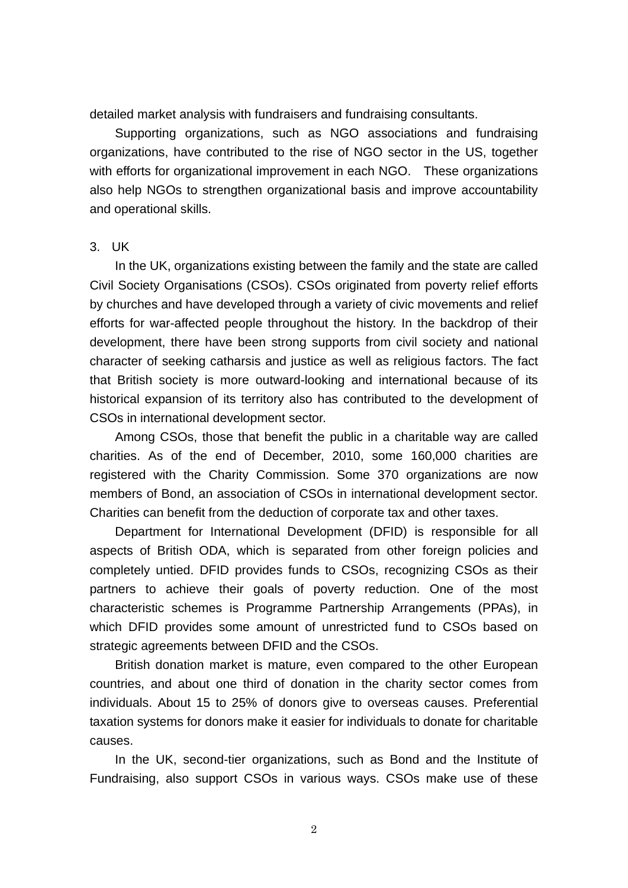detailed market analysis with fundraisers and fundraising consultants.

Supporting organizations, such as NGO associations and fundraising organizations, have contributed to the rise of NGO sector in the US, together with efforts for organizational improvement in each NGO. These organizations also help NGOs to strengthen organizational basis and improve accountability and operational skills.

### 3. UK

In the UK, organizations existing between the family and the state are called Civil Society Organisations (CSOs). CSOs originated from poverty relief efforts by churches and have developed through a variety of civic movements and relief efforts for war-affected people throughout the history. In the backdrop of their development, there have been strong supports from civil society and national character of seeking catharsis and justice as well as religious factors. The fact that British society is more outward-looking and international because of its historical expansion of its territory also has contributed to the development of CSOs in international development sector.

Among CSOs, those that benefit the public in a charitable way are called charities. As of the end of December, 2010, some 160,000 charities are registered with the Charity Commission. Some 370 organizations are now members of Bond, an association of CSOs in international development sector. Charities can benefit from the deduction of corporate tax and other taxes.

Department for International Development (DFID) is responsible for all aspects of British ODA, which is separated from other foreign policies and completely untied. DFID provides funds to CSOs, recognizing CSOs as their partners to achieve their goals of poverty reduction. One of the most characteristic schemes is Programme Partnership Arrangements (PPAs), in which DFID provides some amount of unrestricted fund to CSOs based on strategic agreements between DFID and the CSOs.

British donation market is mature, even compared to the other European countries, and about one third of donation in the charity sector comes from individuals. About 15 to 25% of donors give to overseas causes. Preferential taxation systems for donors make it easier for individuals to donate for charitable causes.

In the UK, second-tier organizations, such as Bond and the Institute of Fundraising, also support CSOs in various ways. CSOs make use of these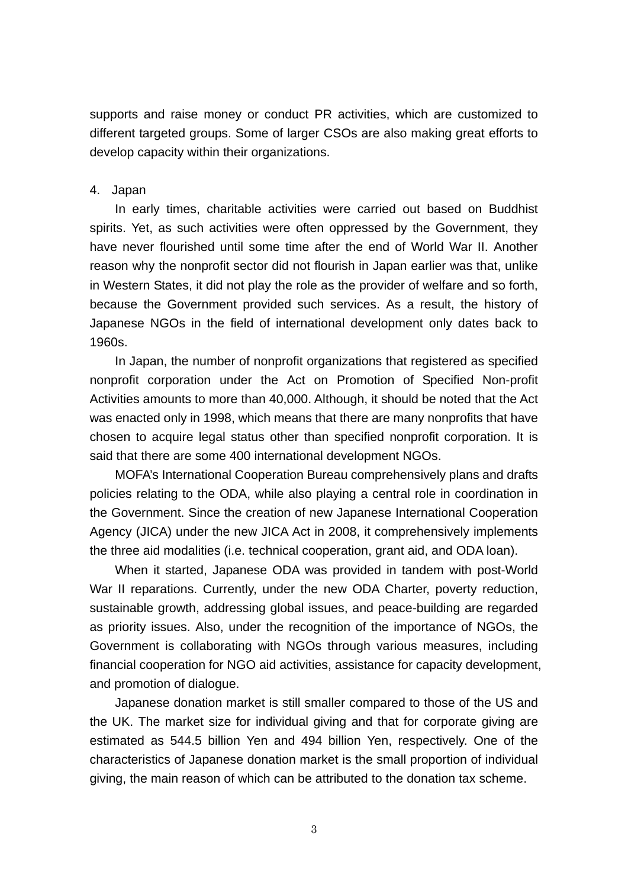supports and raise money or conduct PR activities, which are customized to different targeted groups. Some of larger CSOs are also making great efforts to develop capacity within their organizations.

## 4. Japan

In early times, charitable activities were carried out based on Buddhist spirits. Yet, as such activities were often oppressed by the Government, they have never flourished until some time after the end of World War II. Another reason why the nonprofit sector did not flourish in Japan earlier was that, unlike in Western States, it did not play the role as the provider of welfare and so forth, because the Government provided such services. As a result, the history of Japanese NGOs in the field of international development only dates back to 1960s.

In Japan, the number of nonprofit organizations that registered as specified nonprofit corporation under the Act on Promotion of Specified Non-profit Activities amounts to more than 40,000. Although, it should be noted that the Act was enacted only in 1998, which means that there are many nonprofits that have chosen to acquire legal status other than specified nonprofit corporation. It is said that there are some 400 international development NGOs.

MOFA's International Cooperation Bureau comprehensively plans and drafts policies relating to the ODA, while also playing a central role in coordination in the Government. Since the creation of new Japanese International Cooperation Agency (JICA) under the new JICA Act in 2008, it comprehensively implements the three aid modalities (i.e. technical cooperation, grant aid, and ODA loan).

When it started, Japanese ODA was provided in tandem with post-World War II reparations. Currently, under the new ODA Charter, poverty reduction, sustainable growth, addressing global issues, and peace-building are regarded as priority issues. Also, under the recognition of the importance of NGOs, the Government is collaborating with NGOs through various measures, including financial cooperation for NGO aid activities, assistance for capacity development, and promotion of dialogue.

Japanese donation market is still smaller compared to those of the US and the UK. The market size for individual giving and that for corporate giving are estimated as 544.5 billion Yen and 494 billion Yen, respectively. One of the characteristics of Japanese donation market is the small proportion of individual giving, the main reason of which can be attributed to the donation tax scheme.